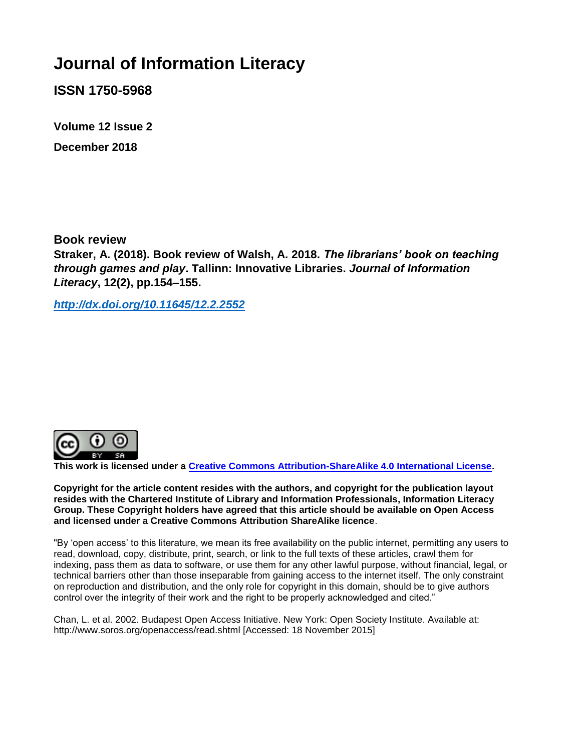## **Journal of Information Literacy**

**ISSN 1750-5968**

**Volume 12 Issue 2 December 2018**

**Book review**

**Straker, A. (2018). Book review of Walsh, A. 2018.** *The librarians' book on teaching through games and play***. Tallinn: Innovative Libraries.** *Journal of Information Literacy***, 12(2), pp.154–155.**

*[http://dx.doi.org/10.11645/12.2.25](http://dx.doi.org/10.11645/12.2.2)52*



**This work is licensed under a [Creative Commons Attribution-ShareAlike 4.0 International License.](http://creativecommons.org/licenses/by-sa/4.0/)**

**Copyright for the article content resides with the authors, and copyright for the publication layout resides with the Chartered Institute of Library and Information Professionals, Information Literacy Group. These Copyright holders have agreed that this article should be available on Open Access and licensed under a Creative Commons Attribution ShareAlike licence**.

"By 'open access' to this literature, we mean its free availability on the public internet, permitting any users to read, download, copy, distribute, print, search, or link to the full texts of these articles, crawl them for indexing, pass them as data to software, or use them for any other lawful purpose, without financial, legal, or technical barriers other than those inseparable from gaining access to the internet itself. The only constraint on reproduction and distribution, and the only role for copyright in this domain, should be to give authors control over the integrity of their work and the right to be properly acknowledged and cited."

Chan, L. et al. 2002. Budapest Open Access Initiative. New York: Open Society Institute. Available at: http://www.soros.org/openaccess/read.shtml [Accessed: 18 November 2015]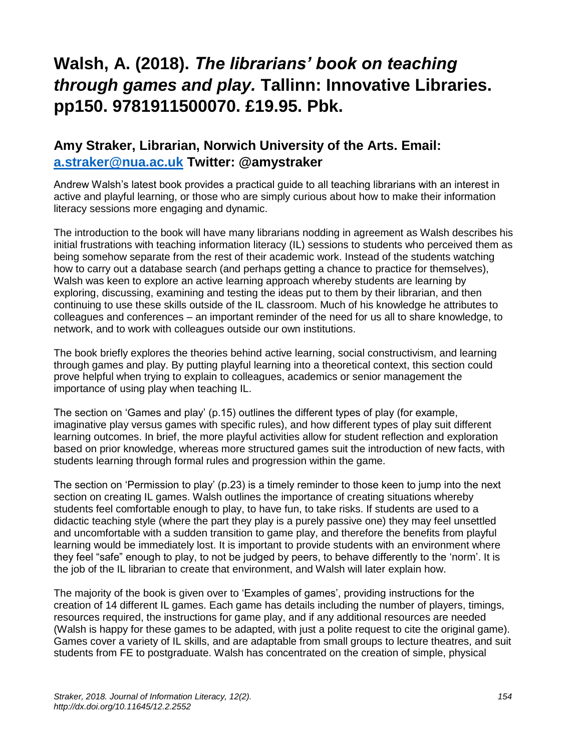## **Walsh, A. (2018).** *The librarians' book on teaching through games and play.* **Tallinn: Innovative Libraries. pp150. 9781911500070. £19.95. Pbk.**

## **Amy Straker, Librarian, Norwich University of the Arts. Email: [a.straker@nua.ac.uk](mailto:a.straker@nua.ac.uk) Twitter: @amystraker**

Andrew Walsh's latest book provides a practical guide to all teaching librarians with an interest in active and playful learning, or those who are simply curious about how to make their information literacy sessions more engaging and dynamic.

The introduction to the book will have many librarians nodding in agreement as Walsh describes his initial frustrations with teaching information literacy (IL) sessions to students who perceived them as being somehow separate from the rest of their academic work. Instead of the students watching how to carry out a database search (and perhaps getting a chance to practice for themselves), Walsh was keen to explore an active learning approach whereby students are learning by exploring, discussing, examining and testing the ideas put to them by their librarian, and then continuing to use these skills outside of the IL classroom. Much of his knowledge he attributes to colleagues and conferences – an important reminder of the need for us all to share knowledge, to network, and to work with colleagues outside our own institutions.

The book briefly explores the theories behind active learning, social constructivism, and learning through games and play. By putting playful learning into a theoretical context, this section could prove helpful when trying to explain to colleagues, academics or senior management the importance of using play when teaching IL.

The section on 'Games and play' (p.15) outlines the different types of play (for example, imaginative play versus games with specific rules), and how different types of play suit different learning outcomes. In brief, the more playful activities allow for student reflection and exploration based on prior knowledge, whereas more structured games suit the introduction of new facts, with students learning through formal rules and progression within the game.

The section on 'Permission to play' (p.23) is a timely reminder to those keen to jump into the next section on creating IL games. Walsh outlines the importance of creating situations whereby students feel comfortable enough to play, to have fun, to take risks. If students are used to a didactic teaching style (where the part they play is a purely passive one) they may feel unsettled and uncomfortable with a sudden transition to game play, and therefore the benefits from playful learning would be immediately lost. It is important to provide students with an environment where they feel "safe" enough to play, to not be judged by peers, to behave differently to the 'norm'. It is the job of the IL librarian to create that environment, and Walsh will later explain how.

The majority of the book is given over to 'Examples of games', providing instructions for the creation of 14 different IL games. Each game has details including the number of players, timings, resources required, the instructions for game play, and if any additional resources are needed (Walsh is happy for these games to be adapted, with just a polite request to cite the original game). Games cover a variety of IL skills, and are adaptable from small groups to lecture theatres, and suit students from FE to postgraduate. Walsh has concentrated on the creation of simple, physical